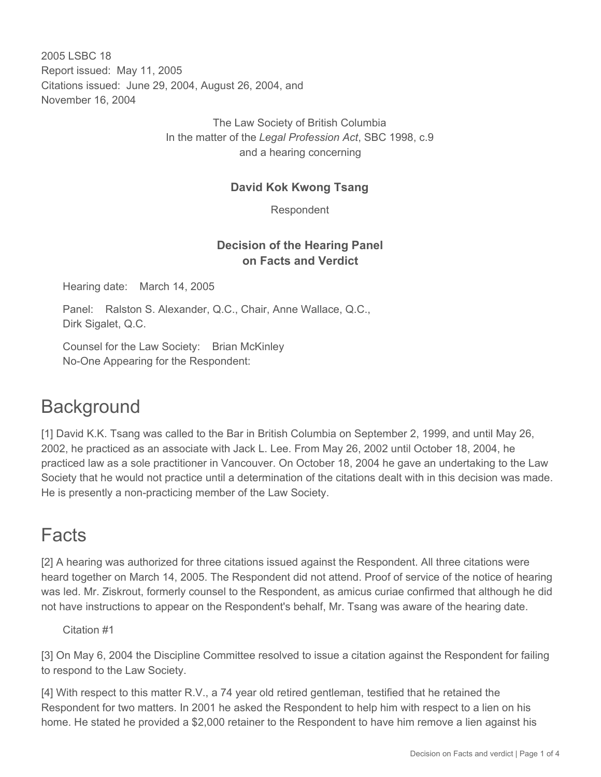2005 LSBC 18 Report issued: May 11, 2005 Citations issued: June 29, 2004, August 26, 2004, and November 16, 2004

> The Law Society of British Columbia In the matter of the *Legal Profession Act*, SBC 1998, c.9 and a hearing concerning

#### **David Kok Kwong Tsang**

Respondent

### **Decision of the Hearing Panel on Facts and Verdict**

Hearing date: March 14, 2005

Panel: Ralston S. Alexander, Q.C., Chair, Anne Wallace, Q.C., Dirk Sigalet, Q.C.

Counsel for the Law Society: Brian McKinley No-One Appearing for the Respondent:

## **Background**

[1] David K.K. Tsang was called to the Bar in British Columbia on September 2, 1999, and until May 26, 2002, he practiced as an associate with Jack L. Lee. From May 26, 2002 until October 18, 2004, he practiced law as a sole practitioner in Vancouver. On October 18, 2004 he gave an undertaking to the Law Society that he would not practice until a determination of the citations dealt with in this decision was made. He is presently a non-practicing member of the Law Society.

## Facts

[2] A hearing was authorized for three citations issued against the Respondent. All three citations were heard together on March 14, 2005. The Respondent did not attend. Proof of service of the notice of hearing was led. Mr. Ziskrout, formerly counsel to the Respondent, as amicus curiae confirmed that although he did not have instructions to appear on the Respondent's behalf, Mr. Tsang was aware of the hearing date.

#### Citation #1

[3] On May 6, 2004 the Discipline Committee resolved to issue a citation against the Respondent for failing to respond to the Law Society.

[4] With respect to this matter R.V., a 74 year old retired gentleman, testified that he retained the Respondent for two matters. In 2001 he asked the Respondent to help him with respect to a lien on his home. He stated he provided a \$2,000 retainer to the Respondent to have him remove a lien against his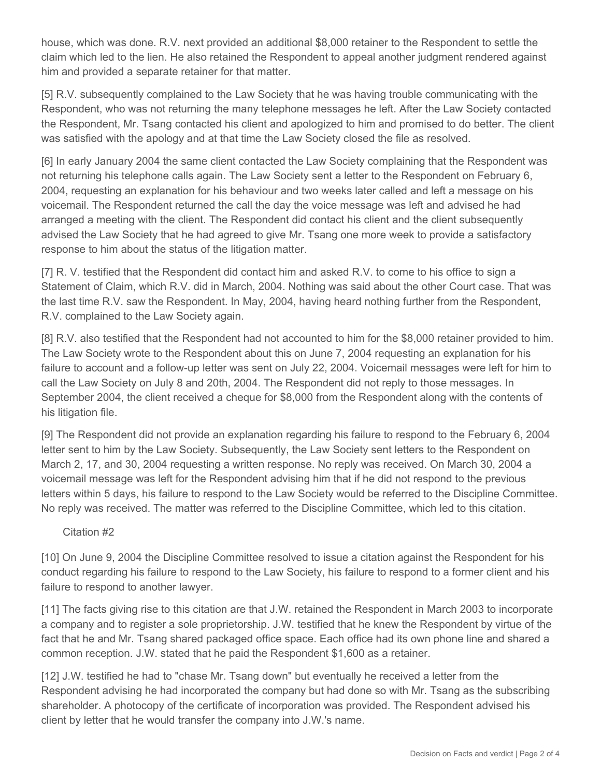house, which was done. R.V. next provided an additional \$8,000 retainer to the Respondent to settle the claim which led to the lien. He also retained the Respondent to appeal another judgment rendered against him and provided a separate retainer for that matter.

[5] R.V. subsequently complained to the Law Society that he was having trouble communicating with the Respondent, who was not returning the many telephone messages he left. After the Law Society contacted the Respondent, Mr. Tsang contacted his client and apologized to him and promised to do better. The client was satisfied with the apology and at that time the Law Society closed the file as resolved.

[6] In early January 2004 the same client contacted the Law Society complaining that the Respondent was not returning his telephone calls again. The Law Society sent a letter to the Respondent on February 6, 2004, requesting an explanation for his behaviour and two weeks later called and left a message on his voicemail. The Respondent returned the call the day the voice message was left and advised he had arranged a meeting with the client. The Respondent did contact his client and the client subsequently advised the Law Society that he had agreed to give Mr. Tsang one more week to provide a satisfactory response to him about the status of the litigation matter.

[7] R. V. testified that the Respondent did contact him and asked R.V. to come to his office to sign a Statement of Claim, which R.V. did in March, 2004. Nothing was said about the other Court case. That was the last time R.V. saw the Respondent. In May, 2004, having heard nothing further from the Respondent, R.V. complained to the Law Society again.

[8] R.V. also testified that the Respondent had not accounted to him for the \$8,000 retainer provided to him. The Law Society wrote to the Respondent about this on June 7, 2004 requesting an explanation for his failure to account and a follow-up letter was sent on July 22, 2004. Voicemail messages were left for him to call the Law Society on July 8 and 20th, 2004. The Respondent did not reply to those messages. In September 2004, the client received a cheque for \$8,000 from the Respondent along with the contents of his litigation file.

[9] The Respondent did not provide an explanation regarding his failure to respond to the February 6, 2004 letter sent to him by the Law Society. Subsequently, the Law Society sent letters to the Respondent on March 2, 17, and 30, 2004 requesting a written response. No reply was received. On March 30, 2004 a voicemail message was left for the Respondent advising him that if he did not respond to the previous letters within 5 days, his failure to respond to the Law Society would be referred to the Discipline Committee. No reply was received. The matter was referred to the Discipline Committee, which led to this citation.

#### Citation #2

[10] On June 9, 2004 the Discipline Committee resolved to issue a citation against the Respondent for his conduct regarding his failure to respond to the Law Society, his failure to respond to a former client and his failure to respond to another lawyer.

[11] The facts giving rise to this citation are that J.W. retained the Respondent in March 2003 to incorporate a company and to register a sole proprietorship. J.W. testified that he knew the Respondent by virtue of the fact that he and Mr. Tsang shared packaged office space. Each office had its own phone line and shared a common reception. J.W. stated that he paid the Respondent \$1,600 as a retainer.

[12] J.W. testified he had to "chase Mr. Tsang down" but eventually he received a letter from the Respondent advising he had incorporated the company but had done so with Mr. Tsang as the subscribing shareholder. A photocopy of the certificate of incorporation was provided. The Respondent advised his client by letter that he would transfer the company into J.W.'s name.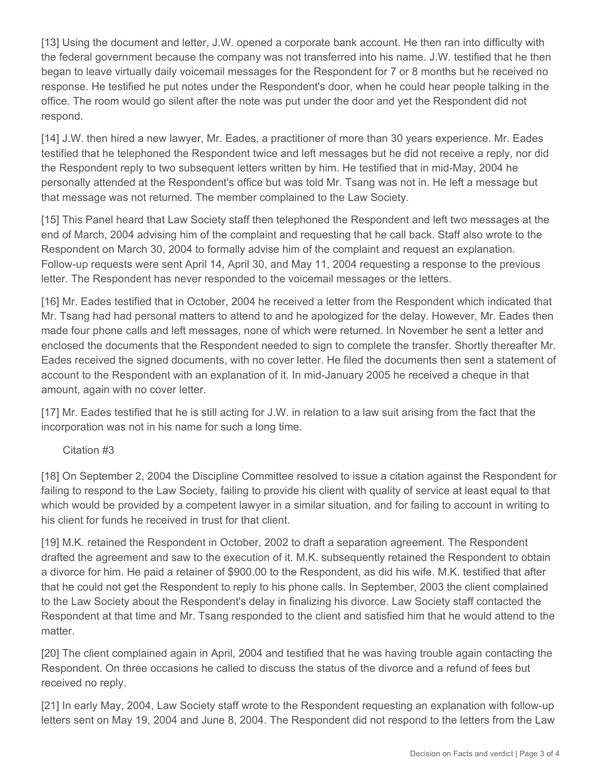[13] Using the document and letter, J.W. opened a corporate bank account. He then ran into difficulty with the federal government because the company was not transferred into his name. J.W. testified that he then began to leave virtually daily voicemail messages for the Respondent for 7 or 8 months but he received no response. He testified he put notes under the Respondent's door, when he could hear people talking in the office. The room would go silent after the note was put under the door and yet the Respondent did not respond.

[14] J.W. then hired a new lawyer, Mr. Eades, a practitioner of more than 30 years experience. Mr. Eades testified that he telephoned the Respondent twice and left messages but he did not receive a reply, nor did the Respondent reply to two subsequent letters written by him. He testified that in mid-May, 2004 he personally attended at the Respondent's office but was told Mr. Tsang was not in. He left a message but that message was not returned. The member complained to the Law Society.

[15] This Panel heard that Law Society staff then telephoned the Respondent and left two messages at the end of March, 2004 advising him of the complaint and requesting that he call back. Staff also wrote to the Respondent on March 30, 2004 to formally advise him of the complaint and request an explanation. Follow-up requests were sent April 14, April 30, and May 11, 2004 requesting a response to the previous letter. The Respondent has never responded to the voicemail messages or the letters.

[16] Mr. Eades testified that in October, 2004 he received a letter from the Respondent which indicated that Mr. Tsang had had personal matters to attend to and he apologized for the delay. However, Mr. Eades then made four phone calls and left messages, none of which were returned. In November he sent a letter and enclosed the documents that the Respondent needed to sign to complete the transfer. Shortly thereafter Mr. Eades received the signed documents, with no cover letter. He filed the documents then sent a statement of account to the Respondent with an explanation of it. In mid-January 2005 he received a cheque in that amount, again with no cover letter.

[17] Mr. Eades testified that he is still acting for J.W. in relation to a law suit arising from the fact that the incorporation was not in his name for such a long time.

#### Citation #3

[18] On September 2, 2004 the Discipline Committee resolved to issue a citation against the Respondent for failing to respond to the Law Society, failing to provide his client with quality of service at least equal to that which would be provided by a competent lawyer in a similar situation, and for failing to account in writing to his client for funds he received in trust for that client.

[19] M.K. retained the Respondent in October, 2002 to draft a separation agreement. The Respondent drafted the agreement and saw to the execution of it. M.K. subsequently retained the Respondent to obtain a divorce for him. He paid a retainer of \$900.00 to the Respondent, as did his wife. M.K. testified that after that he could not get the Respondent to reply to his phone calls. In September, 2003 the client complained to the Law Society about the Respondent's delay in finalizing his divorce. Law Society staff contacted the Respondent at that time and Mr. Tsang responded to the client and satisfied him that he would attend to the matter.

[20] The client complained again in April, 2004 and testified that he was having trouble again contacting the Respondent. On three occasions he called to discuss the status of the divorce and a refund of fees but received no reply.

[21] In early May, 2004, Law Society staff wrote to the Respondent requesting an explanation with follow-up letters sent on May 19, 2004 and June 8, 2004. The Respondent did not respond to the letters from the Law